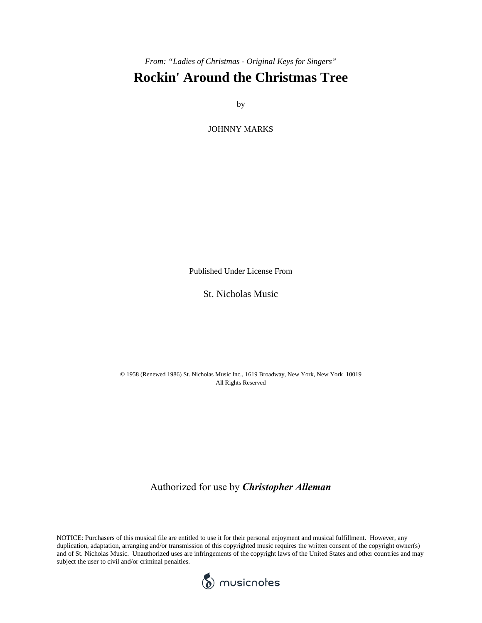*From: "Ladies of Christmas - Original Keys for Singers"*

## **Rockin' Around the Christmas Tree**

by

JOHNNY MARKS

Published Under License From

St. Nicholas Music

© 1958 (Renewed 1986) St. Nicholas Music Inc., 1619 Broadway, New York, New York 10019 All Rights Reserved

Authorized for use by *Christopher Alleman*

NOTICE: Purchasers of this musical file are entitled to use it for their personal enjoyment and musical fulfillment. However, any duplication, adaptation, arranging and/or transmission of this copyrighted music requires the written consent of the copyright owner(s) and of St. Nicholas Music. Unauthorized uses are infringements of the copyright laws of the United States and other countries and may subject the user to civil and/or criminal penalties.

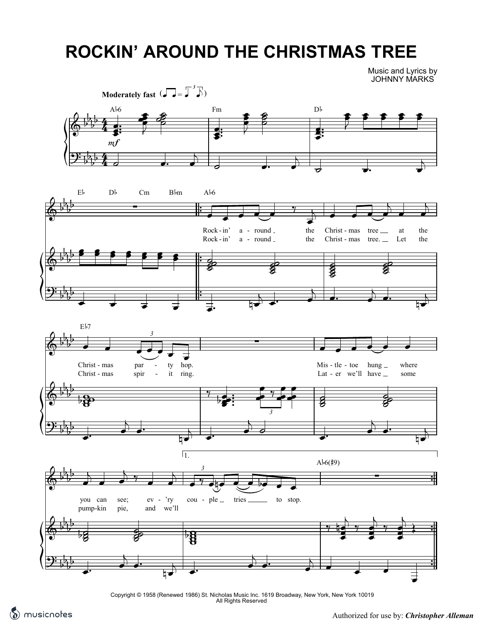## **ROCKIN' AROUND THE CHRISTMAS TREE**

Music and Lyrics by JOHNNY MARKS



Copyright © 1958 (Renewed 1986) St. Nicholas Music Inc. 1619 Broadway, New York, New York 10019 All Rights Reserved

Compliments of *musicnotes.com* Authorized for use by: *Christopher Alleman*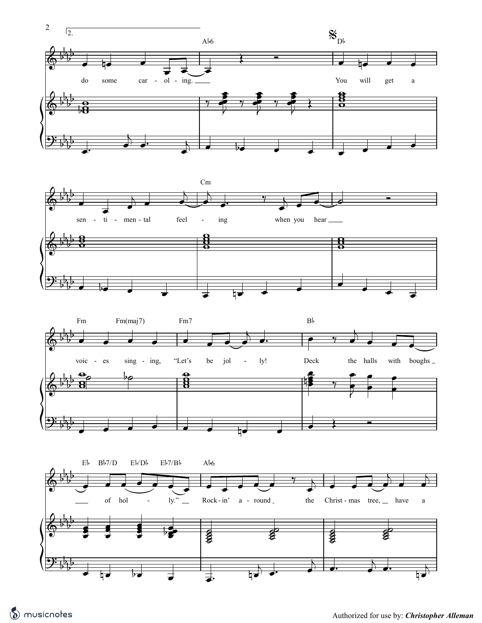





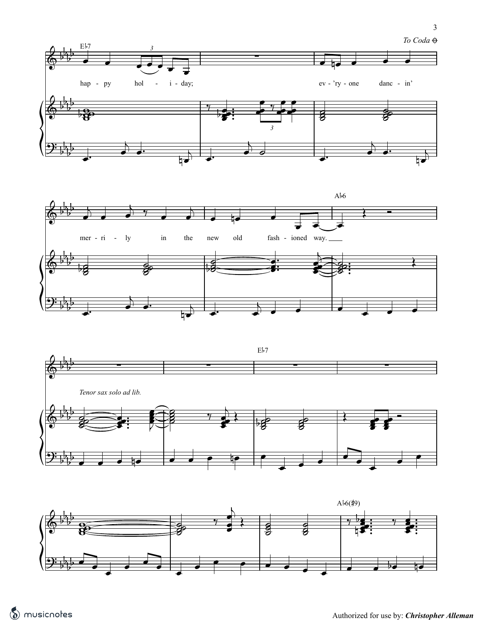